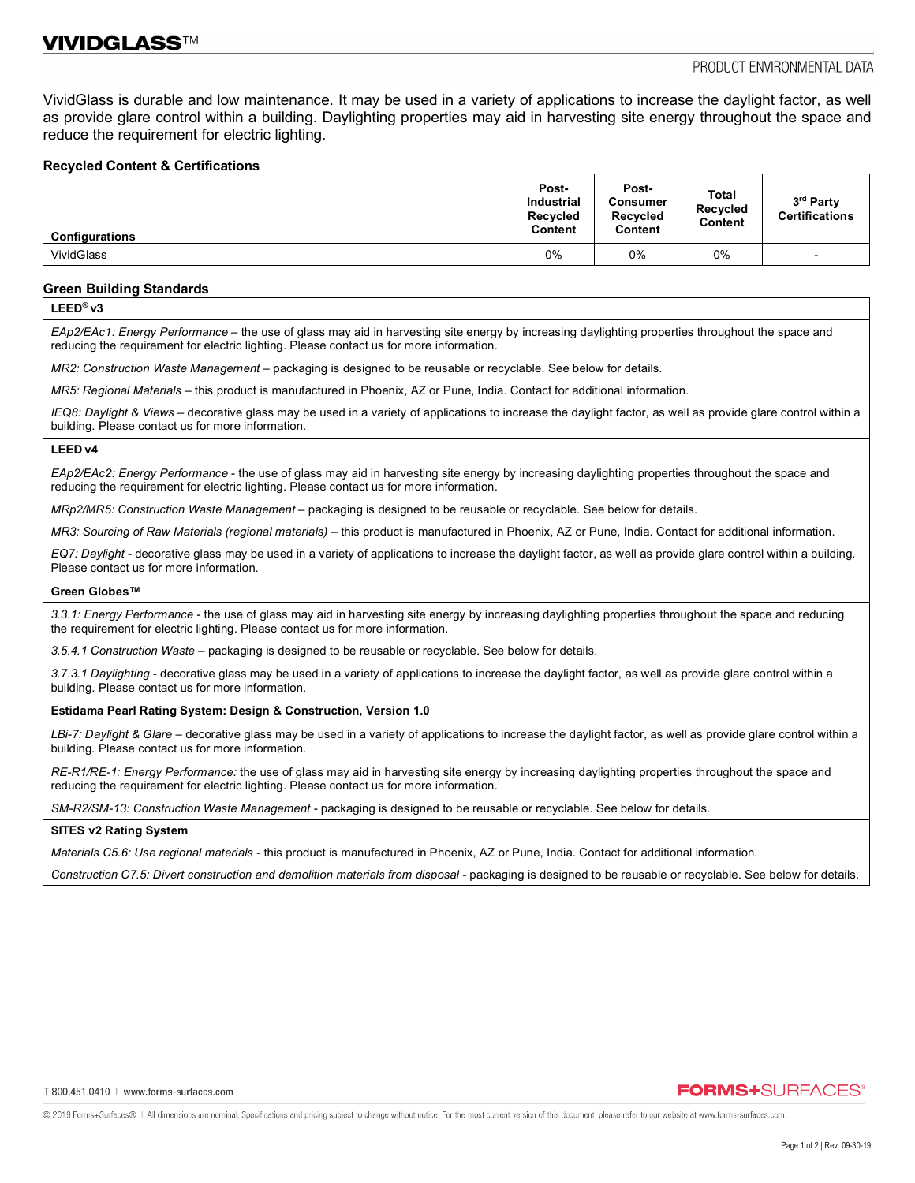VividGlass is durable and low maintenance. It may be used in a variety of applications to increase the daylight factor, as well as provide glare control within a building. Daylighting properties may aid in harvesting site energy throughout the space and reduce the requirement for electric lighting.

### **Recycled Content & Certifications**

| <b>Configurations</b> | Post-<br><b>Industrial</b><br><b>Recycled</b><br>Content | Post-<br>Consumer<br>Recycled<br>Content | Total<br>Recycled<br>Content | 3rd Party<br><b>Certifications</b> |
|-----------------------|----------------------------------------------------------|------------------------------------------|------------------------------|------------------------------------|
| <b>VividGlass</b>     | 0%                                                       | $0\%$                                    | 0%                           | $\overline{\phantom{0}}$           |

### **Green Building Standards**

**LEED® v3**

*EAp2/EAc1: Energy Performance –* the use of glass may aid in harvesting site energy by increasing daylighting properties throughout the space and reducing the requirement for electric lighting. Please contact us for more information.

*MR2: Construction Waste Management –* packaging is designed to be reusable or recyclable. See below for details.

*MR5: Regional Materials* – this product is manufactured in Phoenix, AZ or Pune, India. Contact for additional information.

*IEQ8: Daylight & Views –* decorative glass may be used in a variety of applications to increase the daylight factor, as well as provide glare control within a building. Please contact us for more information.

#### **LEED v4**

*EAp2/EAc2: Energy Performance* - the use of glass may aid in harvesting site energy by increasing daylighting properties throughout the space and reducing the requirement for electric lighting. Please contact us for more information.

*MRp2/MR5: Construction Waste Management –* packaging is designed to be reusable or recyclable. See below for details.

*MR3: Sourcing of Raw Materials (regional materials)* – this product is manufactured in Phoenix, AZ or Pune, India. Contact for additional information.

*EQ7: Daylight -* decorative glass may be used in a variety of applications to increase the daylight factor, as well as provide glare control within a building. Please contact us for more information.

#### **Green Globes™**

*3.3.1: Energy Performance* - the use of glass may aid in harvesting site energy by increasing daylighting properties throughout the space and reducing the requirement for electric lighting. Please contact us for more information.

*3.5.4.1 Construction Waste* – packaging is designed to be reusable or recyclable. See below for details.

*3.7.3.1 Daylighting -* decorative glass may be used in a variety of applications to increase the daylight factor, as well as provide glare control within a building. Please contact us for more information.

#### **Estidama Pearl Rating System: Design & Construction, Version 1.0**

LBi-7: Daylight & Glare – decorative glass may be used in a variety of applications to increase the daylight factor, as well as provide glare control within a building. Please contact us for more information.

*RE-R1/RE-1: Energy Performance:* the use of glass may aid in harvesting site energy by increasing daylighting properties throughout the space and reducing the requirement for electric lighting. Please contact us for more information.

*SM-R2/SM-13: Construction Waste Management -* packaging is designed to be reusable or recyclable. See below for details.

#### **SITES v2 Rating System**

*Materials C5.6: Use regional materials -* this product is manufactured in Phoenix, AZ or Pune, India. Contact for additional information.

*Construction C7.5: Divert construction and demolition materials from disposal -* packaging is designed to be reusable or recyclable. See below for details.

### **FORMS+**SURFACES®

@ 2019 Forms+Surfaces® | All dimensions are nominal. Specifications and pricing subject to change without notice. For the most current version of this document, please refer to our website at www.forms-surfaces.com